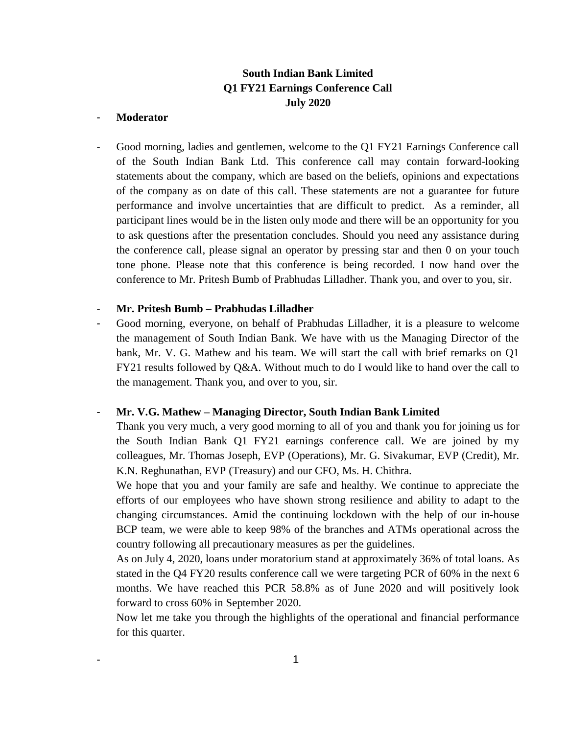# **South Indian Bank Limited Q1 FY21 Earnings Conference Call July 2020**

## - **Moderator**

- Good morning, ladies and gentlemen, welcome to the Q1 FY21 Earnings Conference call of the South Indian Bank Ltd. This conference call may contain forward-looking statements about the company, which are based on the beliefs, opinions and expectations of the company as on date of this call. These statements are not a guarantee for future performance and involve uncertainties that are difficult to predict. As a reminder, all participant lines would be in the listen only mode and there will be an opportunity for you to ask questions after the presentation concludes. Should you need any assistance during the conference call, please signal an operator by pressing star and then 0 on your touch tone phone. Please note that this conference is being recorded. I now hand over the conference to Mr. Pritesh Bumb of Prabhudas Lilladher. Thank you, and over to you, sir.

### - **Mr. Pritesh Bumb – Prabhudas Lilladher**

- Good morning, everyone, on behalf of Prabhudas Lilladher, it is a pleasure to welcome the management of South Indian Bank. We have with us the Managing Director of the bank, Mr. V. G. Mathew and his team. We will start the call with brief remarks on Q1 FY21 results followed by Q&A. Without much to do I would like to hand over the call to the management. Thank you, and over to you, sir.

# - **Mr. V.G. Mathew – Managing Director, South Indian Bank Limited**

Thank you very much, a very good morning to all of you and thank you for joining us for the South Indian Bank Q1 FY21 earnings conference call. We are joined by my colleagues, Mr. Thomas Joseph, EVP (Operations), Mr. G. Sivakumar, EVP (Credit), Mr. K.N. Reghunathan, EVP (Treasury) and our CFO, Ms. H. Chithra.

We hope that you and your family are safe and healthy. We continue to appreciate the efforts of our employees who have shown strong resilience and ability to adapt to the changing circumstances. Amid the continuing lockdown with the help of our in-house BCP team, we were able to keep 98% of the branches and ATMs operational across the country following all precautionary measures as per the guidelines.

As on July 4, 2020, loans under moratorium stand at approximately 36% of total loans. As stated in the Q4 FY20 results conference call we were targeting PCR of 60% in the next 6 months. We have reached this PCR 58.8% as of June 2020 and will positively look forward to cross 60% in September 2020.

Now let me take you through the highlights of the operational and financial performance for this quarter.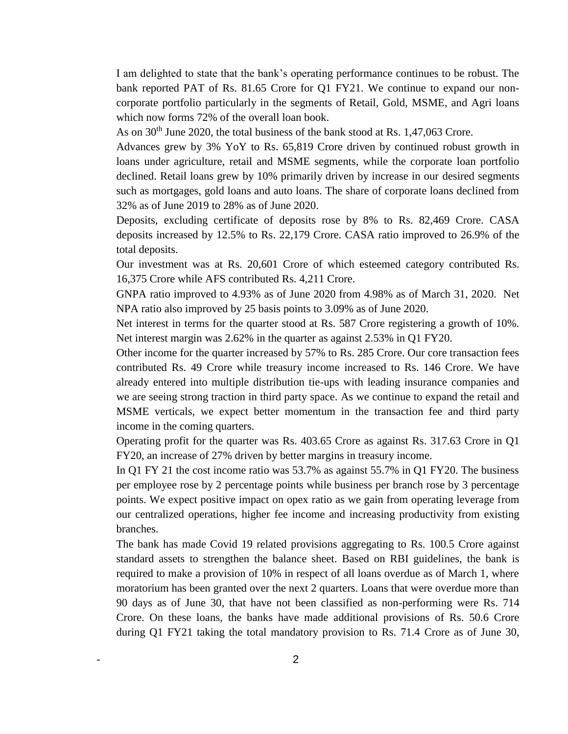I am delighted to state that the bank's operating performance continues to be robust. The bank reported PAT of Rs. 81.65 Crore for Q1 FY21. We continue to expand our noncorporate portfolio particularly in the segments of Retail, Gold, MSME, and Agri loans which now forms 72% of the overall loan book.

As on  $30<sup>th</sup>$  June 2020, the total business of the bank stood at Rs. 1,47,063 Crore.

Advances grew by 3% YoY to Rs. 65,819 Crore driven by continued robust growth in loans under agriculture, retail and MSME segments, while the corporate loan portfolio declined. Retail loans grew by 10% primarily driven by increase in our desired segments such as mortgages, gold loans and auto loans. The share of corporate loans declined from 32% as of June 2019 to 28% as of June 2020.

Deposits, excluding certificate of deposits rose by 8% to Rs. 82,469 Crore. CASA deposits increased by 12.5% to Rs. 22,179 Crore. CASA ratio improved to 26.9% of the total deposits.

Our investment was at Rs. 20,601 Crore of which esteemed category contributed Rs. 16,375 Crore while AFS contributed Rs. 4,211 Crore.

GNPA ratio improved to 4.93% as of June 2020 from 4.98% as of March 31, 2020. Net NPA ratio also improved by 25 basis points to 3.09% as of June 2020.

Net interest in terms for the quarter stood at Rs. 587 Crore registering a growth of 10%. Net interest margin was 2.62% in the quarter as against 2.53% in Q1 FY20.

Other income for the quarter increased by 57% to Rs. 285 Crore. Our core transaction fees contributed Rs. 49 Crore while treasury income increased to Rs. 146 Crore. We have already entered into multiple distribution tie-ups with leading insurance companies and we are seeing strong traction in third party space. As we continue to expand the retail and MSME verticals, we expect better momentum in the transaction fee and third party income in the coming quarters.

Operating profit for the quarter was Rs. 403.65 Crore as against Rs. 317.63 Crore in Q1 FY20, an increase of 27% driven by better margins in treasury income.

In Q1 FY 21 the cost income ratio was 53.7% as against 55.7% in Q1 FY20. The business per employee rose by 2 percentage points while business per branch rose by 3 percentage points. We expect positive impact on opex ratio as we gain from operating leverage from our centralized operations, higher fee income and increasing productivity from existing branches.

The bank has made Covid 19 related provisions aggregating to Rs. 100.5 Crore against standard assets to strengthen the balance sheet. Based on RBI guidelines, the bank is required to make a provision of 10% in respect of all loans overdue as of March 1, where moratorium has been granted over the next 2 quarters. Loans that were overdue more than 90 days as of June 30, that have not been classified as non-performing were Rs. 714 Crore. On these loans, the banks have made additional provisions of Rs. 50.6 Crore during Q1 FY21 taking the total mandatory provision to Rs. 71.4 Crore as of June 30,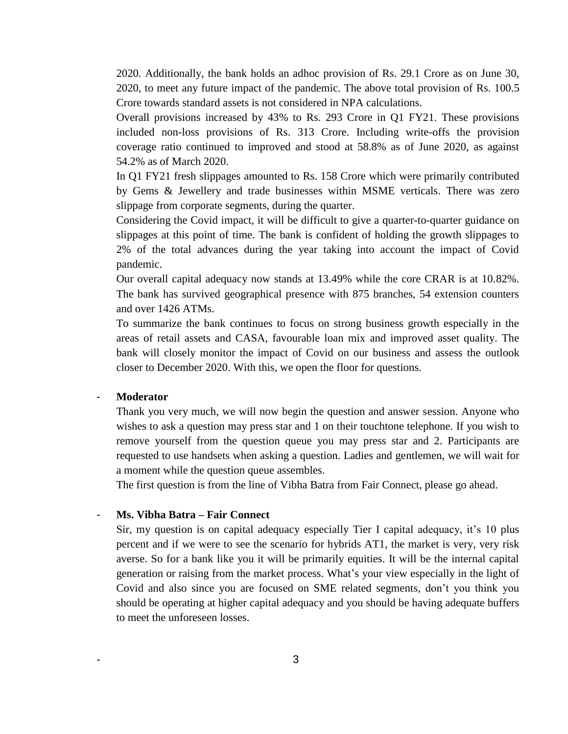2020. Additionally, the bank holds an adhoc provision of Rs. 29.1 Crore as on June 30, 2020, to meet any future impact of the pandemic. The above total provision of Rs. 100.5 Crore towards standard assets is not considered in NPA calculations.

Overall provisions increased by 43% to Rs. 293 Crore in Q1 FY21. These provisions included non-loss provisions of Rs. 313 Crore. Including write-offs the provision coverage ratio continued to improved and stood at 58.8% as of June 2020, as against 54.2% as of March 2020.

In Q1 FY21 fresh slippages amounted to Rs. 158 Crore which were primarily contributed by Gems & Jewellery and trade businesses within MSME verticals. There was zero slippage from corporate segments, during the quarter.

Considering the Covid impact, it will be difficult to give a quarter-to-quarter guidance on slippages at this point of time. The bank is confident of holding the growth slippages to 2% of the total advances during the year taking into account the impact of Covid pandemic.

Our overall capital adequacy now stands at 13.49% while the core CRAR is at 10.82%. The bank has survived geographical presence with 875 branches, 54 extension counters and over 1426 ATMs.

To summarize the bank continues to focus on strong business growth especially in the areas of retail assets and CASA, favourable loan mix and improved asset quality. The bank will closely monitor the impact of Covid on our business and assess the outlook closer to December 2020. With this, we open the floor for questions.

# - **Moderator**

Thank you very much, we will now begin the question and answer session. Anyone who wishes to ask a question may press star and 1 on their touchtone telephone. If you wish to remove yourself from the question queue you may press star and 2. Participants are requested to use handsets when asking a question. Ladies and gentlemen, we will wait for a moment while the question queue assembles.

The first question is from the line of Vibha Batra from Fair Connect, please go ahead.

# - **Ms. Vibha Batra – Fair Connect**

Sir, my question is on capital adequacy especially Tier I capital adequacy, it's 10 plus percent and if we were to see the scenario for hybrids AT1, the market is very, very risk averse. So for a bank like you it will be primarily equities. It will be the internal capital generation or raising from the market process. What's your view especially in the light of Covid and also since you are focused on SME related segments, don't you think you should be operating at higher capital adequacy and you should be having adequate buffers to meet the unforeseen losses.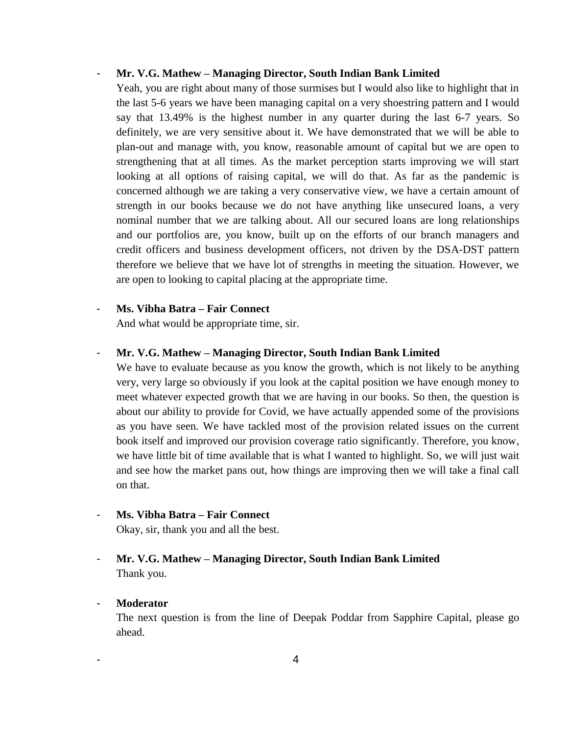# - **Mr. V.G. Mathew – Managing Director, South Indian Bank Limited**

Yeah, you are right about many of those surmises but I would also like to highlight that in the last 5-6 years we have been managing capital on a very shoestring pattern and I would say that 13.49% is the highest number in any quarter during the last 6-7 years. So definitely, we are very sensitive about it. We have demonstrated that we will be able to plan-out and manage with, you know, reasonable amount of capital but we are open to strengthening that at all times. As the market perception starts improving we will start looking at all options of raising capital, we will do that. As far as the pandemic is concerned although we are taking a very conservative view, we have a certain amount of strength in our books because we do not have anything like unsecured loans, a very nominal number that we are talking about. All our secured loans are long relationships and our portfolios are, you know, built up on the efforts of our branch managers and credit officers and business development officers, not driven by the DSA-DST pattern therefore we believe that we have lot of strengths in meeting the situation. However, we are open to looking to capital placing at the appropriate time.

# - **Ms. Vibha Batra – Fair Connect**

And what would be appropriate time, sir.

#### - **Mr. V.G. Mathew – Managing Director, South Indian Bank Limited**

We have to evaluate because as you know the growth, which is not likely to be anything very, very large so obviously if you look at the capital position we have enough money to meet whatever expected growth that we are having in our books. So then, the question is about our ability to provide for Covid, we have actually appended some of the provisions as you have seen. We have tackled most of the provision related issues on the current book itself and improved our provision coverage ratio significantly. Therefore, you know, we have little bit of time available that is what I wanted to highlight. So, we will just wait and see how the market pans out, how things are improving then we will take a final call on that.

# - **Ms. Vibha Batra – Fair Connect**

Okay, sir, thank you and all the best.

# - **Mr. V.G. Mathew – Managing Director, South Indian Bank Limited** Thank you.

#### - **Moderator**

The next question is from the line of Deepak Poddar from Sapphire Capital, please go ahead.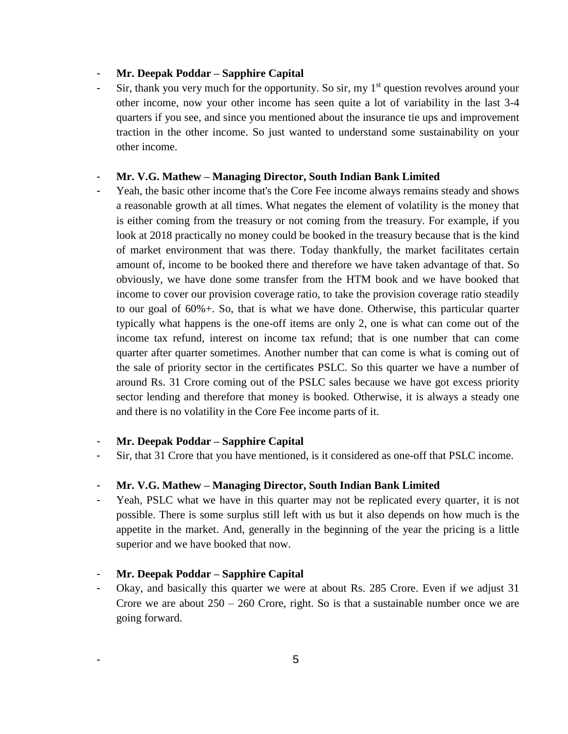# - **Mr. Deepak Poddar – Sapphire Capital**

Sir, thank you very much for the opportunity. So sir, my  $1<sup>st</sup>$  question revolves around your other income, now your other income has seen quite a lot of variability in the last 3-4 quarters if you see, and since you mentioned about the insurance tie ups and improvement traction in the other income. So just wanted to understand some sustainability on your other income.

#### - **Mr. V.G. Mathew – Managing Director, South Indian Bank Limited**

Yeah, the basic other income that's the Core Fee income always remains steady and shows a reasonable growth at all times. What negates the element of volatility is the money that is either coming from the treasury or not coming from the treasury. For example, if you look at 2018 practically no money could be booked in the treasury because that is the kind of market environment that was there. Today thankfully, the market facilitates certain amount of, income to be booked there and therefore we have taken advantage of that. So obviously, we have done some transfer from the HTM book and we have booked that income to cover our provision coverage ratio, to take the provision coverage ratio steadily to our goal of 60%+. So, that is what we have done. Otherwise, this particular quarter typically what happens is the one-off items are only 2, one is what can come out of the income tax refund, interest on income tax refund; that is one number that can come quarter after quarter sometimes. Another number that can come is what is coming out of the sale of priority sector in the certificates PSLC. So this quarter we have a number of around Rs. 31 Crore coming out of the PSLC sales because we have got excess priority sector lending and therefore that money is booked. Otherwise, it is always a steady one and there is no volatility in the Core Fee income parts of it.

# - **Mr. Deepak Poddar – Sapphire Capital**

Sir, that 31 Crore that you have mentioned, is it considered as one-off that PSLC income.

# - **Mr. V.G. Mathew – Managing Director, South Indian Bank Limited**

Yeah, PSLC what we have in this quarter may not be replicated every quarter, it is not possible. There is some surplus still left with us but it also depends on how much is the appetite in the market. And, generally in the beginning of the year the pricing is a little superior and we have booked that now.

## - **Mr. Deepak Poddar – Sapphire Capital**

Okay, and basically this quarter we were at about Rs. 285 Crore. Even if we adjust 31 Crore we are about  $250 - 260$  Crore, right. So is that a sustainable number once we are going forward.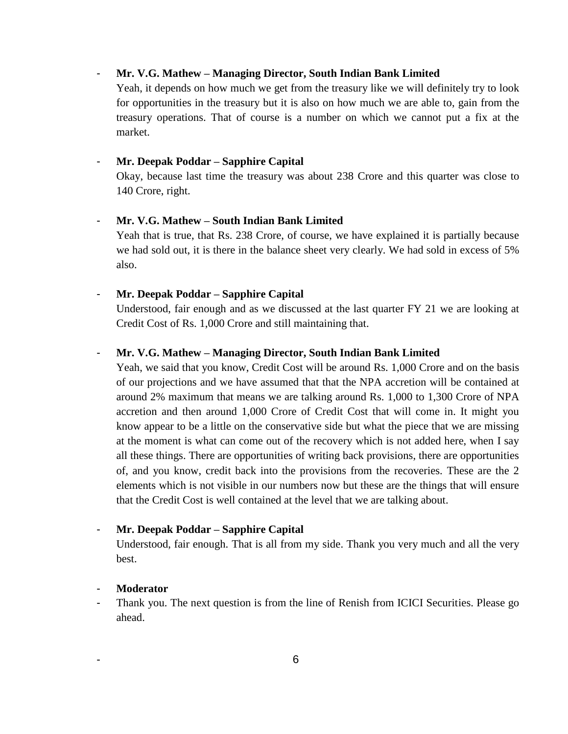# - **Mr. V.G. Mathew – Managing Director, South Indian Bank Limited**

Yeah, it depends on how much we get from the treasury like we will definitely try to look for opportunities in the treasury but it is also on how much we are able to, gain from the treasury operations. That of course is a number on which we cannot put a fix at the market.

#### - **Mr. Deepak Poddar – Sapphire Capital**

Okay, because last time the treasury was about 238 Crore and this quarter was close to 140 Crore, right.

## - **Mr. V.G. Mathew – South Indian Bank Limited**

Yeah that is true, that Rs. 238 Crore, of course, we have explained it is partially because we had sold out, it is there in the balance sheet very clearly. We had sold in excess of 5% also.

#### - **Mr. Deepak Poddar – Sapphire Capital**

Understood, fair enough and as we discussed at the last quarter FY 21 we are looking at Credit Cost of Rs. 1,000 Crore and still maintaining that.

#### - **Mr. V.G. Mathew – Managing Director, South Indian Bank Limited**

Yeah, we said that you know, Credit Cost will be around Rs. 1,000 Crore and on the basis of our projections and we have assumed that that the NPA accretion will be contained at around 2% maximum that means we are talking around Rs. 1,000 to 1,300 Crore of NPA accretion and then around 1,000 Crore of Credit Cost that will come in. It might you know appear to be a little on the conservative side but what the piece that we are missing at the moment is what can come out of the recovery which is not added here, when I say all these things. There are opportunities of writing back provisions, there are opportunities of, and you know, credit back into the provisions from the recoveries. These are the 2 elements which is not visible in our numbers now but these are the things that will ensure that the Credit Cost is well contained at the level that we are talking about.

# - **Mr. Deepak Poddar – Sapphire Capital**

Understood, fair enough. That is all from my side. Thank you very much and all the very best.

# - **Moderator**

Thank you. The next question is from the line of Renish from ICICI Securities. Please go ahead.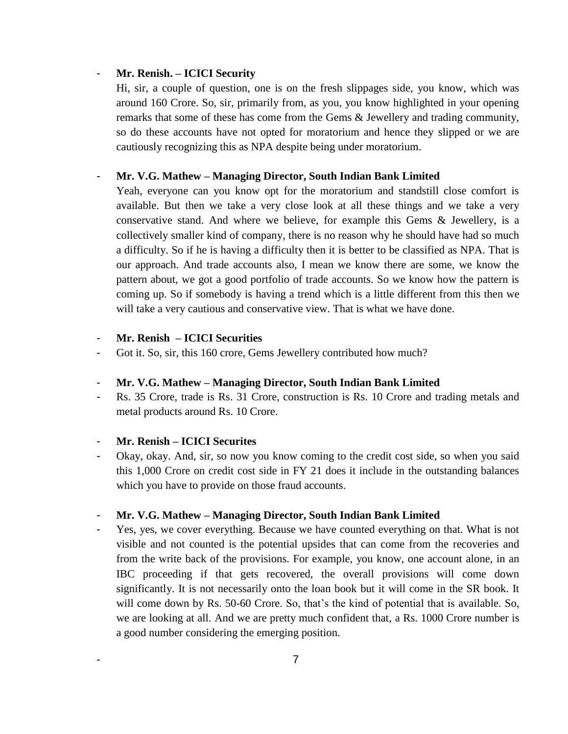# - **Mr. Renish. – ICICI Security**

Hi, sir, a couple of question, one is on the fresh slippages side, you know, which was around 160 Crore. So, sir, primarily from, as you, you know highlighted in your opening remarks that some of these has come from the Gems & Jewellery and trading community, so do these accounts have not opted for moratorium and hence they slipped or we are cautiously recognizing this as NPA despite being under moratorium.

# - **Mr. V.G. Mathew – Managing Director, South Indian Bank Limited**

Yeah, everyone can you know opt for the moratorium and standstill close comfort is available. But then we take a very close look at all these things and we take a very conservative stand. And where we believe, for example this Gems & Jewellery, is a collectively smaller kind of company, there is no reason why he should have had so much a difficulty. So if he is having a difficulty then it is better to be classified as NPA. That is our approach. And trade accounts also, I mean we know there are some, we know the pattern about, we got a good portfolio of trade accounts. So we know how the pattern is coming up. So if somebody is having a trend which is a little different from this then we will take a very cautious and conservative view. That is what we have done.

# - **Mr. Renish – ICICI Securities**

Got it. So, sir, this 160 crore, Gems Jewellery contributed how much?

# - **Mr. V.G. Mathew – Managing Director, South Indian Bank Limited**

- Rs. 35 Crore, trade is Rs. 31 Crore, construction is Rs. 10 Crore and trading metals and metal products around Rs. 10 Crore.

# - **Mr. Renish – ICICI Securites**

Okay, okay. And, sir, so now you know coming to the credit cost side, so when you said this 1,000 Crore on credit cost side in FY 21 does it include in the outstanding balances which you have to provide on those fraud accounts.

# - **Mr. V.G. Mathew – Managing Director, South Indian Bank Limited**

Yes, yes, we cover everything. Because we have counted everything on that. What is not visible and not counted is the potential upsides that can come from the recoveries and from the write back of the provisions. For example, you know, one account alone, in an IBC proceeding if that gets recovered, the overall provisions will come down significantly. It is not necessarily onto the loan book but it will come in the SR book. It will come down by Rs. 50-60 Crore. So, that's the kind of potential that is available. So, we are looking at all. And we are pretty much confident that, a Rs. 1000 Crore number is a good number considering the emerging position.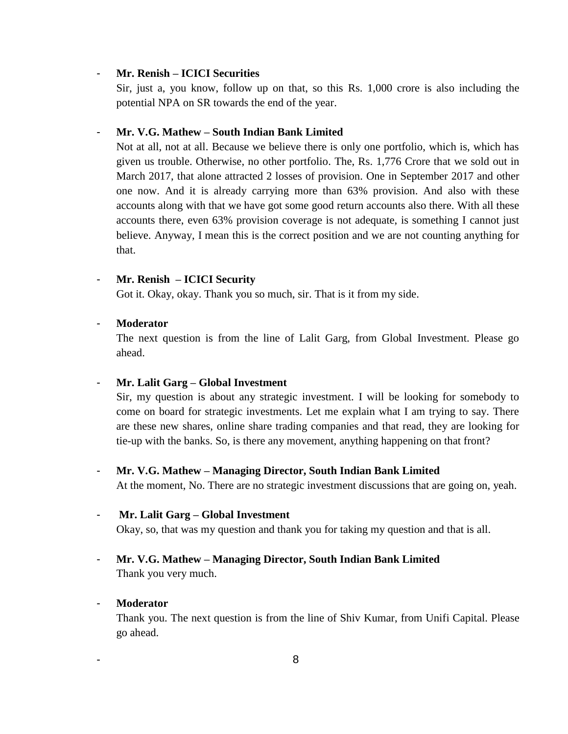# - **Mr. Renish – ICICI Securities**

Sir, just a, you know, follow up on that, so this Rs. 1,000 crore is also including the potential NPA on SR towards the end of the year.

## - **Mr. V.G. Mathew – South Indian Bank Limited**

Not at all, not at all. Because we believe there is only one portfolio, which is, which has given us trouble. Otherwise, no other portfolio. The, Rs. 1,776 Crore that we sold out in March 2017, that alone attracted 2 losses of provision. One in September 2017 and other one now. And it is already carrying more than 63% provision. And also with these accounts along with that we have got some good return accounts also there. With all these accounts there, even 63% provision coverage is not adequate, is something I cannot just believe. Anyway, I mean this is the correct position and we are not counting anything for that.

#### - **Mr. Renish – ICICI Security**

Got it. Okay, okay. Thank you so much, sir. That is it from my side.

#### - **Moderator**

The next question is from the line of Lalit Garg, from Global Investment. Please go ahead.

# - **Mr. Lalit Garg – Global Investment**

Sir, my question is about any strategic investment. I will be looking for somebody to come on board for strategic investments. Let me explain what I am trying to say. There are these new shares, online share trading companies and that read, they are looking for tie-up with the banks. So, is there any movement, anything happening on that front?

# - **Mr. V.G. Mathew – Managing Director, South Indian Bank Limited**

At the moment, No. There are no strategic investment discussions that are going on, yeah.

### - **Mr. Lalit Garg – Global Investment**

Okay, so, that was my question and thank you for taking my question and that is all.

# - **Mr. V.G. Mathew – Managing Director, South Indian Bank Limited** Thank you very much.

# - **Moderator**

Thank you. The next question is from the line of Shiv Kumar, from Unifi Capital. Please go ahead.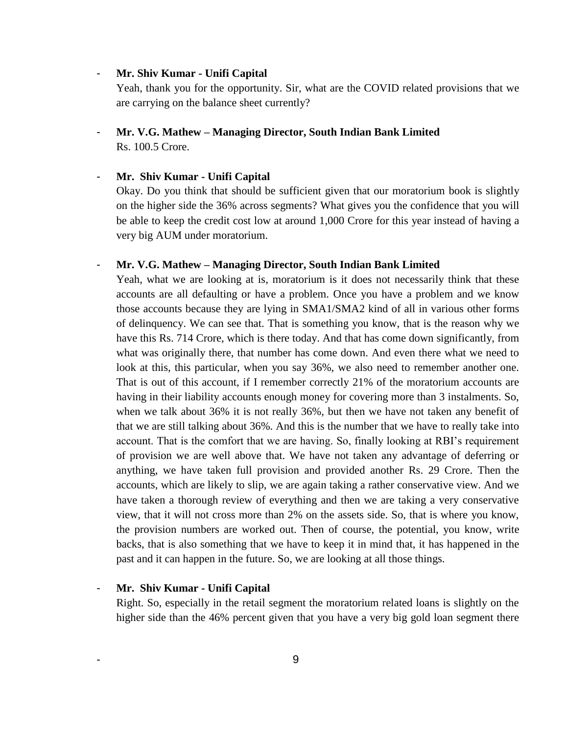### - **Mr. Shiv Kumar - Unifi Capital**

Yeah, thank you for the opportunity. Sir, what are the COVID related provisions that we are carrying on the balance sheet currently?

- **Mr. V.G. Mathew – Managing Director, South Indian Bank Limited** Rs. 100.5 Crore.

#### - **Mr. Shiv Kumar - Unifi Capital**

Okay. Do you think that should be sufficient given that our moratorium book is slightly on the higher side the 36% across segments? What gives you the confidence that you will be able to keep the credit cost low at around 1,000 Crore for this year instead of having a very big AUM under moratorium.

#### - **Mr. V.G. Mathew – Managing Director, South Indian Bank Limited**

Yeah, what we are looking at is, moratorium is it does not necessarily think that these accounts are all defaulting or have a problem. Once you have a problem and we know those accounts because they are lying in SMA1/SMA2 kind of all in various other forms of delinquency. We can see that. That is something you know, that is the reason why we have this Rs. 714 Crore, which is there today. And that has come down significantly, from what was originally there, that number has come down. And even there what we need to look at this, this particular, when you say 36%, we also need to remember another one. That is out of this account, if I remember correctly 21% of the moratorium accounts are having in their liability accounts enough money for covering more than 3 instalments. So, when we talk about 36% it is not really 36%, but then we have not taken any benefit of that we are still talking about 36%. And this is the number that we have to really take into account. That is the comfort that we are having. So, finally looking at RBI's requirement of provision we are well above that. We have not taken any advantage of deferring or anything, we have taken full provision and provided another Rs. 29 Crore. Then the accounts, which are likely to slip, we are again taking a rather conservative view. And we have taken a thorough review of everything and then we are taking a very conservative view, that it will not cross more than 2% on the assets side. So, that is where you know, the provision numbers are worked out. Then of course, the potential, you know, write backs, that is also something that we have to keep it in mind that, it has happened in the past and it can happen in the future. So, we are looking at all those things.

# - **Mr. Shiv Kumar - Unifi Capital**

Right. So, especially in the retail segment the moratorium related loans is slightly on the higher side than the 46% percent given that you have a very big gold loan segment there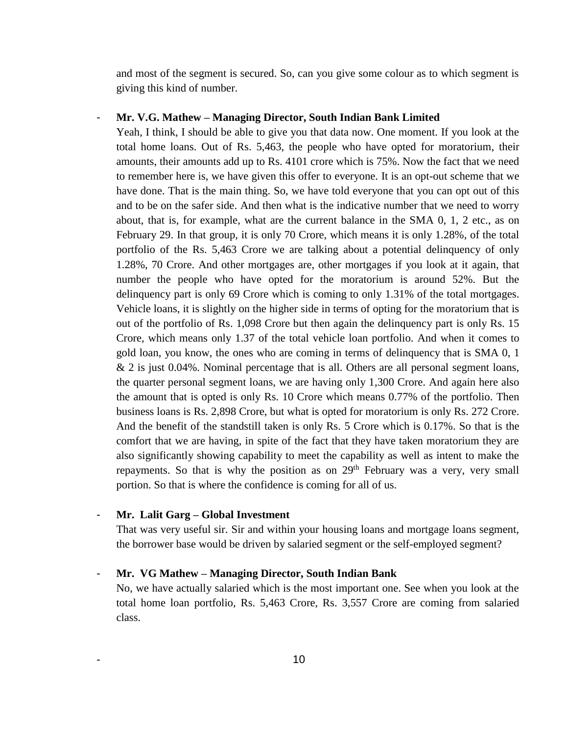and most of the segment is secured. So, can you give some colour as to which segment is giving this kind of number.

#### - **Mr. V.G. Mathew – Managing Director, South Indian Bank Limited**

Yeah, I think, I should be able to give you that data now. One moment. If you look at the total home loans. Out of Rs. 5,463, the people who have opted for moratorium, their amounts, their amounts add up to Rs. 4101 crore which is 75%. Now the fact that we need to remember here is, we have given this offer to everyone. It is an opt-out scheme that we have done. That is the main thing. So, we have told everyone that you can opt out of this and to be on the safer side. And then what is the indicative number that we need to worry about, that is, for example, what are the current balance in the SMA 0, 1, 2 etc., as on February 29. In that group, it is only 70 Crore, which means it is only 1.28%, of the total portfolio of the Rs. 5,463 Crore we are talking about a potential delinquency of only 1.28%, 70 Crore. And other mortgages are, other mortgages if you look at it again, that number the people who have opted for the moratorium is around 52%. But the delinquency part is only 69 Crore which is coming to only 1.31% of the total mortgages. Vehicle loans, it is slightly on the higher side in terms of opting for the moratorium that is out of the portfolio of Rs. 1,098 Crore but then again the delinquency part is only Rs. 15 Crore, which means only 1.37 of the total vehicle loan portfolio. And when it comes to gold loan, you know, the ones who are coming in terms of delinquency that is SMA 0, 1 & 2 is just 0.04%. Nominal percentage that is all. Others are all personal segment loans, the quarter personal segment loans, we are having only 1,300 Crore. And again here also the amount that is opted is only Rs. 10 Crore which means 0.77% of the portfolio. Then business loans is Rs. 2,898 Crore, but what is opted for moratorium is only Rs. 272 Crore. And the benefit of the standstill taken is only Rs. 5 Crore which is 0.17%. So that is the comfort that we are having, in spite of the fact that they have taken moratorium they are also significantly showing capability to meet the capability as well as intent to make the repayments. So that is why the position as on  $29<sup>th</sup>$  February was a very, very small portion. So that is where the confidence is coming for all of us.

### - **Mr. Lalit Garg – Global Investment**

That was very useful sir. Sir and within your housing loans and mortgage loans segment, the borrower base would be driven by salaried segment or the self-employed segment?

#### - **Mr. VG Mathew – Managing Director, South Indian Bank**

No, we have actually salaried which is the most important one. See when you look at the total home loan portfolio, Rs. 5,463 Crore, Rs. 3,557 Crore are coming from salaried class.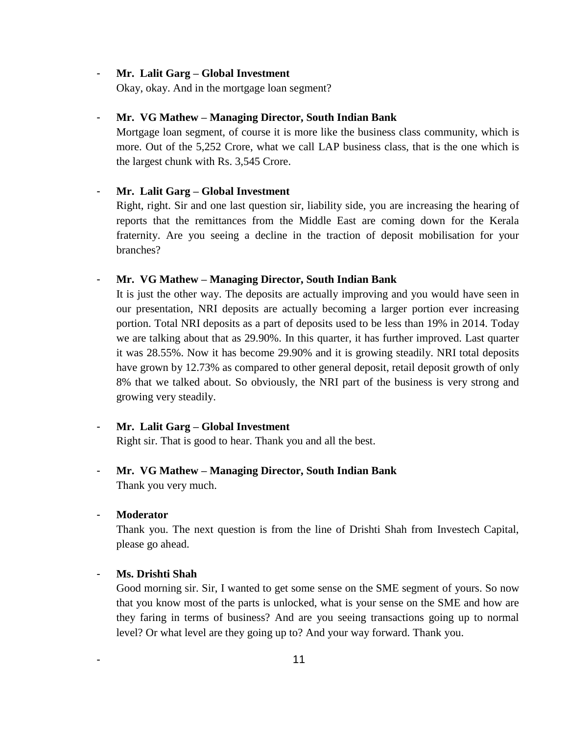#### - **Mr. Lalit Garg – Global Investment**

Okay, okay. And in the mortgage loan segment?

# - **Mr. VG Mathew – Managing Director, South Indian Bank**

Mortgage loan segment, of course it is more like the business class community, which is more. Out of the 5,252 Crore, what we call LAP business class, that is the one which is the largest chunk with Rs. 3,545 Crore.

# - **Mr. Lalit Garg – Global Investment**

Right, right. Sir and one last question sir, liability side, you are increasing the hearing of reports that the remittances from the Middle East are coming down for the Kerala fraternity. Are you seeing a decline in the traction of deposit mobilisation for your branches?

#### - **Mr. VG Mathew – Managing Director, South Indian Bank**

It is just the other way. The deposits are actually improving and you would have seen in our presentation, NRI deposits are actually becoming a larger portion ever increasing portion. Total NRI deposits as a part of deposits used to be less than 19% in 2014. Today we are talking about that as 29.90%. In this quarter, it has further improved. Last quarter it was 28.55%. Now it has become 29.90% and it is growing steadily. NRI total deposits have grown by 12.73% as compared to other general deposit, retail deposit growth of only 8% that we talked about. So obviously, the NRI part of the business is very strong and growing very steadily.

# - **Mr. Lalit Garg – Global Investment**

Right sir. That is good to hear. Thank you and all the best.

# - **Mr. VG Mathew – Managing Director, South Indian Bank** Thank you very much.

### - **Moderator**

Thank you. The next question is from the line of Drishti Shah from Investech Capital, please go ahead.

## - **Ms. Drishti Shah**

Good morning sir. Sir, I wanted to get some sense on the SME segment of yours. So now that you know most of the parts is unlocked, what is your sense on the SME and how are they faring in terms of business? And are you seeing transactions going up to normal level? Or what level are they going up to? And your way forward. Thank you.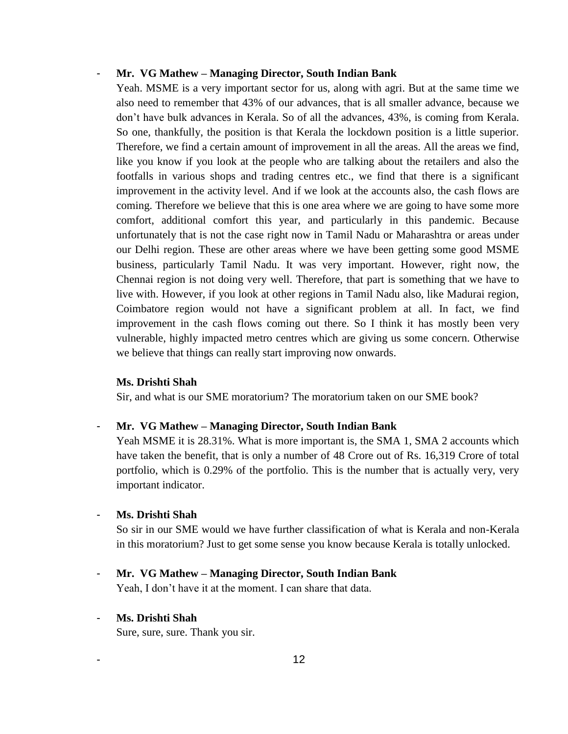# - **Mr. VG Mathew – Managing Director, South Indian Bank**

Yeah. MSME is a very important sector for us, along with agri. But at the same time we also need to remember that 43% of our advances, that is all smaller advance, because we don't have bulk advances in Kerala. So of all the advances, 43%, is coming from Kerala. So one, thankfully, the position is that Kerala the lockdown position is a little superior. Therefore, we find a certain amount of improvement in all the areas. All the areas we find, like you know if you look at the people who are talking about the retailers and also the footfalls in various shops and trading centres etc., we find that there is a significant improvement in the activity level. And if we look at the accounts also, the cash flows are coming. Therefore we believe that this is one area where we are going to have some more comfort, additional comfort this year, and particularly in this pandemic. Because unfortunately that is not the case right now in Tamil Nadu or Maharashtra or areas under our Delhi region. These are other areas where we have been getting some good MSME business, particularly Tamil Nadu. It was very important. However, right now, the Chennai region is not doing very well. Therefore, that part is something that we have to live with. However, if you look at other regions in Tamil Nadu also, like Madurai region, Coimbatore region would not have a significant problem at all. In fact, we find improvement in the cash flows coming out there. So I think it has mostly been very vulnerable, highly impacted metro centres which are giving us some concern. Otherwise we believe that things can really start improving now onwards.

#### **Ms. Drishti Shah**

Sir, and what is our SME moratorium? The moratorium taken on our SME book?

# - **Mr. VG Mathew – Managing Director, South Indian Bank**

Yeah MSME it is 28.31%. What is more important is, the SMA 1, SMA 2 accounts which have taken the benefit, that is only a number of 48 Crore out of Rs. 16,319 Crore of total portfolio, which is 0.29% of the portfolio. This is the number that is actually very, very important indicator.

#### - **Ms. Drishti Shah**

So sir in our SME would we have further classification of what is Kerala and non-Kerala in this moratorium? Just to get some sense you know because Kerala is totally unlocked.

# - **Mr. VG Mathew – Managing Director, South Indian Bank**

Yeah, I don't have it at the moment. I can share that data.

# - **Ms. Drishti Shah**

Sure, sure, sure. Thank you sir.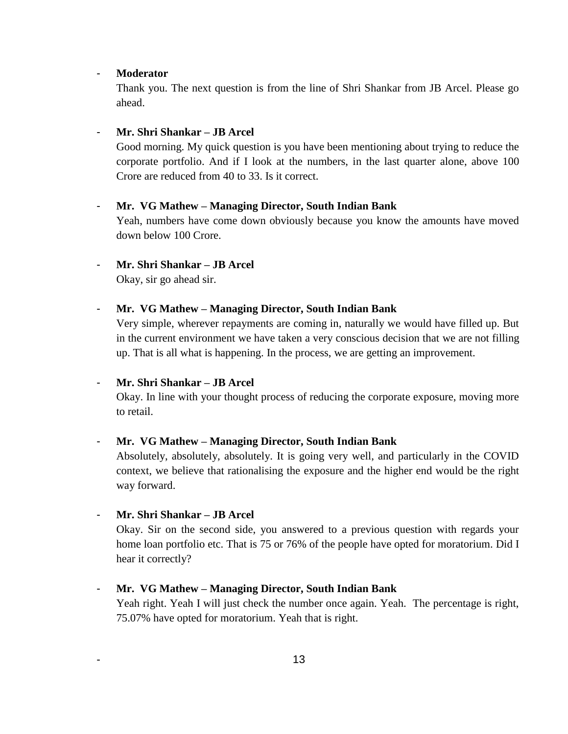### - **Moderator**

Thank you. The next question is from the line of Shri Shankar from JB Arcel. Please go ahead.

# - **Mr. Shri Shankar – JB Arcel**

Good morning. My quick question is you have been mentioning about trying to reduce the corporate portfolio. And if I look at the numbers, in the last quarter alone, above 100 Crore are reduced from 40 to 33. Is it correct.

# - **Mr. VG Mathew – Managing Director, South Indian Bank**

Yeah, numbers have come down obviously because you know the amounts have moved down below 100 Crore.

# - **Mr. Shri Shankar – JB Arcel**

Okay, sir go ahead sir.

# - **Mr. VG Mathew – Managing Director, South Indian Bank**

Very simple, wherever repayments are coming in, naturally we would have filled up. But in the current environment we have taken a very conscious decision that we are not filling up. That is all what is happening. In the process, we are getting an improvement.

# - **Mr. Shri Shankar – JB Arcel**

Okay. In line with your thought process of reducing the corporate exposure, moving more to retail.

# - **Mr. VG Mathew – Managing Director, South Indian Bank**

Absolutely, absolutely, absolutely. It is going very well, and particularly in the COVID context, we believe that rationalising the exposure and the higher end would be the right way forward.

# - **Mr. Shri Shankar – JB Arcel**

Okay. Sir on the second side, you answered to a previous question with regards your home loan portfolio etc. That is 75 or 76% of the people have opted for moratorium. Did I hear it correctly?

# - **Mr. VG Mathew – Managing Director, South Indian Bank**

Yeah right. Yeah I will just check the number once again. Yeah. The percentage is right, 75.07% have opted for moratorium. Yeah that is right.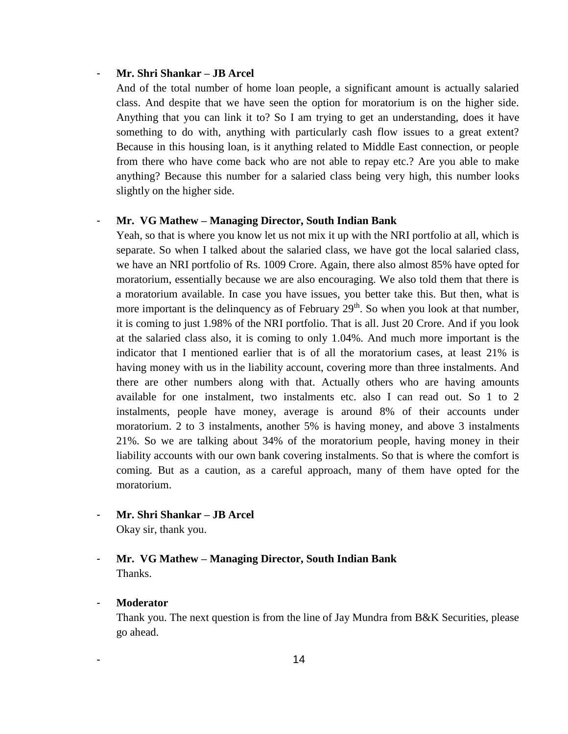# - **Mr. Shri Shankar – JB Arcel**

And of the total number of home loan people, a significant amount is actually salaried class. And despite that we have seen the option for moratorium is on the higher side. Anything that you can link it to? So I am trying to get an understanding, does it have something to do with, anything with particularly cash flow issues to a great extent? Because in this housing loan, is it anything related to Middle East connection, or people from there who have come back who are not able to repay etc.? Are you able to make anything? Because this number for a salaried class being very high, this number looks slightly on the higher side.

# - **Mr. VG Mathew – Managing Director, South Indian Bank**

Yeah, so that is where you know let us not mix it up with the NRI portfolio at all, which is separate. So when I talked about the salaried class, we have got the local salaried class, we have an NRI portfolio of Rs. 1009 Crore. Again, there also almost 85% have opted for moratorium, essentially because we are also encouraging. We also told them that there is a moratorium available. In case you have issues, you better take this. But then, what is more important is the delinquency as of February  $29<sup>th</sup>$ . So when you look at that number, it is coming to just 1.98% of the NRI portfolio. That is all. Just 20 Crore. And if you look at the salaried class also, it is coming to only 1.04%. And much more important is the indicator that I mentioned earlier that is of all the moratorium cases, at least 21% is having money with us in the liability account, covering more than three instalments. And there are other numbers along with that. Actually others who are having amounts available for one instalment, two instalments etc. also I can read out. So 1 to 2 instalments, people have money, average is around 8% of their accounts under moratorium. 2 to 3 instalments, another 5% is having money, and above 3 instalments 21%. So we are talking about 34% of the moratorium people, having money in their liability accounts with our own bank covering instalments. So that is where the comfort is coming. But as a caution, as a careful approach, many of them have opted for the moratorium.

- **Mr. Shri Shankar – JB Arcel**  Okay sir, thank you.
- **Mr. VG Mathew – Managing Director, South Indian Bank** Thanks.

# - **Moderator**

Thank you. The next question is from the line of Jay Mundra from B&K Securities, please go ahead.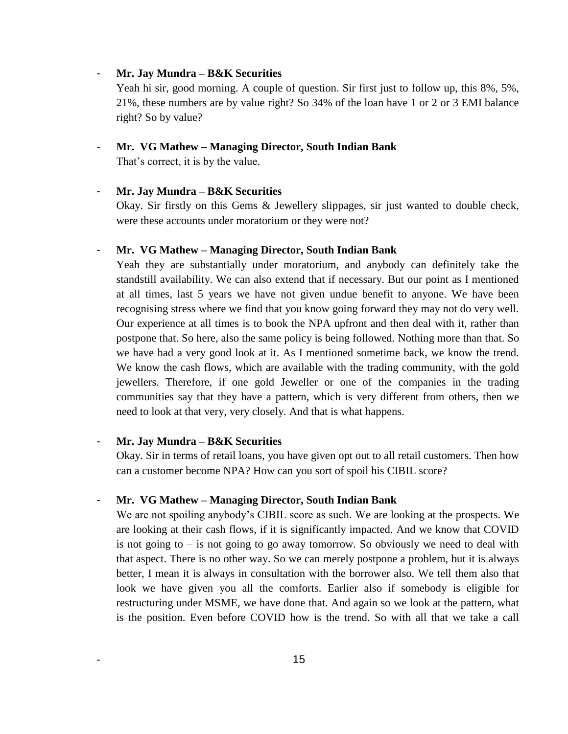# - **Mr. Jay Mundra – B&K Securities**

Yeah hi sir, good morning. A couple of question. Sir first just to follow up, this  $8\%, 5\%,$ 21%, these numbers are by value right? So 34% of the loan have 1 or 2 or 3 EMI balance right? So by value?

#### - **Mr. VG Mathew – Managing Director, South Indian Bank**

That's correct, it is by the value.

# - **Mr. Jay Mundra – B&K Securities**

Okay. Sir firstly on this Gems & Jewellery slippages, sir just wanted to double check, were these accounts under moratorium or they were not?

# - **Mr. VG Mathew – Managing Director, South Indian Bank**

Yeah they are substantially under moratorium, and anybody can definitely take the standstill availability. We can also extend that if necessary. But our point as I mentioned at all times, last 5 years we have not given undue benefit to anyone. We have been recognising stress where we find that you know going forward they may not do very well. Our experience at all times is to book the NPA upfront and then deal with it, rather than postpone that. So here, also the same policy is being followed. Nothing more than that. So we have had a very good look at it. As I mentioned sometime back, we know the trend. We know the cash flows, which are available with the trading community, with the gold jewellers. Therefore, if one gold Jeweller or one of the companies in the trading communities say that they have a pattern, which is very different from others, then we need to look at that very, very closely. And that is what happens.

# - **Mr. Jay Mundra – B&K Securities**

Okay. Sir in terms of retail loans, you have given opt out to all retail customers. Then how can a customer become NPA? How can you sort of spoil his CIBIL score?

#### - **Mr. VG Mathew – Managing Director, South Indian Bank**

We are not spoiling anybody's CIBIL score as such. We are looking at the prospects. We are looking at their cash flows, if it is significantly impacted. And we know that COVID is not going to  $-$  is not going to go away tomorrow. So obviously we need to deal with that aspect. There is no other way. So we can merely postpone a problem, but it is always better, I mean it is always in consultation with the borrower also. We tell them also that look we have given you all the comforts. Earlier also if somebody is eligible for restructuring under MSME, we have done that. And again so we look at the pattern, what is the position. Even before COVID how is the trend. So with all that we take a call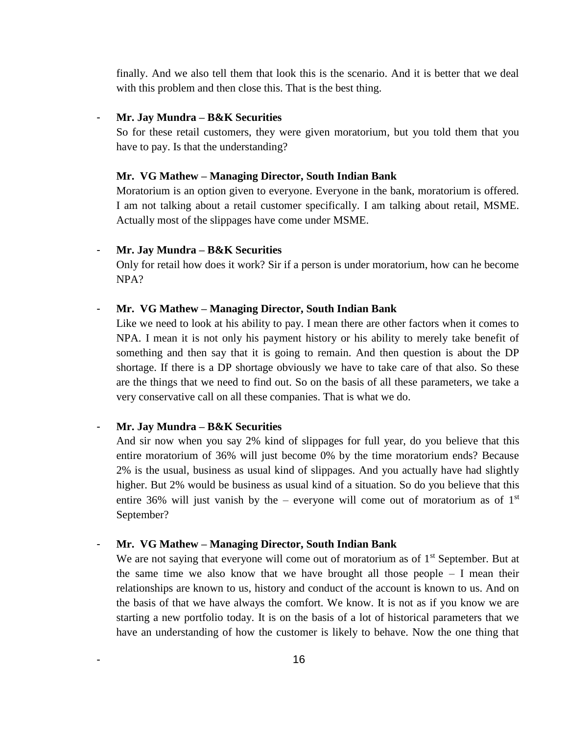finally. And we also tell them that look this is the scenario. And it is better that we deal with this problem and then close this. That is the best thing.

# - **Mr. Jay Mundra – B&K Securities**

So for these retail customers, they were given moratorium, but you told them that you have to pay. Is that the understanding?

#### **Mr. VG Mathew – Managing Director, South Indian Bank**

Moratorium is an option given to everyone. Everyone in the bank, moratorium is offered. I am not talking about a retail customer specifically. I am talking about retail, MSME. Actually most of the slippages have come under MSME.

#### - **Mr. Jay Mundra – B&K Securities**

Only for retail how does it work? Sir if a person is under moratorium, how can he become NPA?

#### - **Mr. VG Mathew – Managing Director, South Indian Bank**

Like we need to look at his ability to pay. I mean there are other factors when it comes to NPA. I mean it is not only his payment history or his ability to merely take benefit of something and then say that it is going to remain. And then question is about the DP shortage. If there is a DP shortage obviously we have to take care of that also. So these are the things that we need to find out. So on the basis of all these parameters, we take a very conservative call on all these companies. That is what we do.

## - **Mr. Jay Mundra – B&K Securities**

And sir now when you say 2% kind of slippages for full year, do you believe that this entire moratorium of 36% will just become 0% by the time moratorium ends? Because 2% is the usual, business as usual kind of slippages. And you actually have had slightly higher. But 2% would be business as usual kind of a situation. So do you believe that this entire 36% will just vanish by the – everyone will come out of moratorium as of  $1<sup>st</sup>$ September?

#### - **Mr. VG Mathew – Managing Director, South Indian Bank**

We are not saying that everyone will come out of moratorium as of  $1<sup>st</sup>$  September. But at the same time we also know that we have brought all those people – I mean their relationships are known to us, history and conduct of the account is known to us. And on the basis of that we have always the comfort. We know. It is not as if you know we are starting a new portfolio today. It is on the basis of a lot of historical parameters that we have an understanding of how the customer is likely to behave. Now the one thing that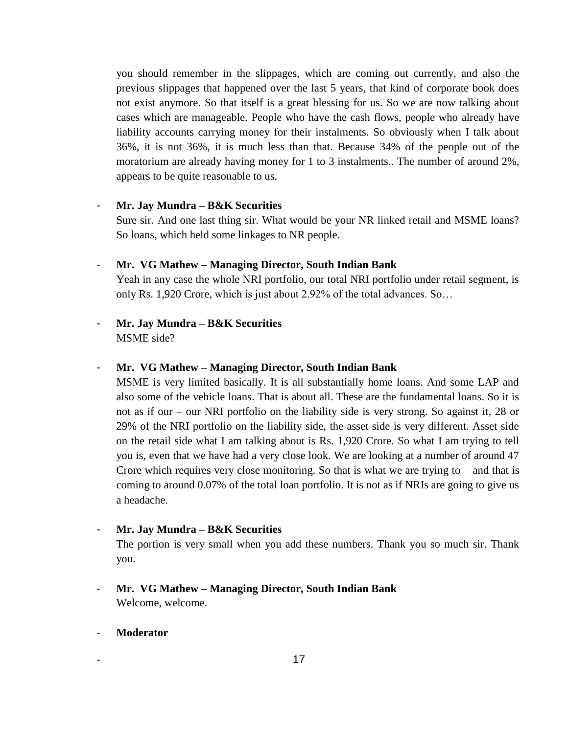you should remember in the slippages, which are coming out currently, and also the previous slippages that happened over the last 5 years, that kind of corporate book does not exist anymore. So that itself is a great blessing for us. So we are now talking about cases which are manageable. People who have the cash flows, people who already have liability accounts carrying money for their instalments. So obviously when I talk about 36%, it is not 36%, it is much less than that. Because 34% of the people out of the moratorium are already having money for 1 to 3 instalments.. The number of around 2%, appears to be quite reasonable to us.

# - **Mr. Jay Mundra – B&K Securities**

Sure sir. And one last thing sir. What would be your NR linked retail and MSME loans? So loans, which held some linkages to NR people.

# - **Mr. VG Mathew – Managing Director, South Indian Bank**

Yeah in any case the whole NRI portfolio, our total NRI portfolio under retail segment, is only Rs. 1,920 Crore, which is just about 2.92% of the total advances. So…

# - **Mr. Jay Mundra – B&K Securities** MSME side?

# - **Mr. VG Mathew – Managing Director, South Indian Bank**

MSME is very limited basically. It is all substantially home loans. And some LAP and also some of the vehicle loans. That is about all. These are the fundamental loans. So it is not as if our – our NRI portfolio on the liability side is very strong. So against it, 28 or 29% of the NRI portfolio on the liability side, the asset side is very different. Asset side on the retail side what I am talking about is Rs. 1,920 Crore. So what I am trying to tell you is, even that we have had a very close look. We are looking at a number of around 47 Crore which requires very close monitoring. So that is what we are trying to  $-$  and that is coming to around 0.07% of the total loan portfolio. It is not as if NRIs are going to give us a headache.

# - **Mr. Jay Mundra – B&K Securities**

The portion is very small when you add these numbers. Thank you so much sir. Thank you.

# - **Mr. VG Mathew – Managing Director, South Indian Bank** Welcome, welcome.

# - **Moderator**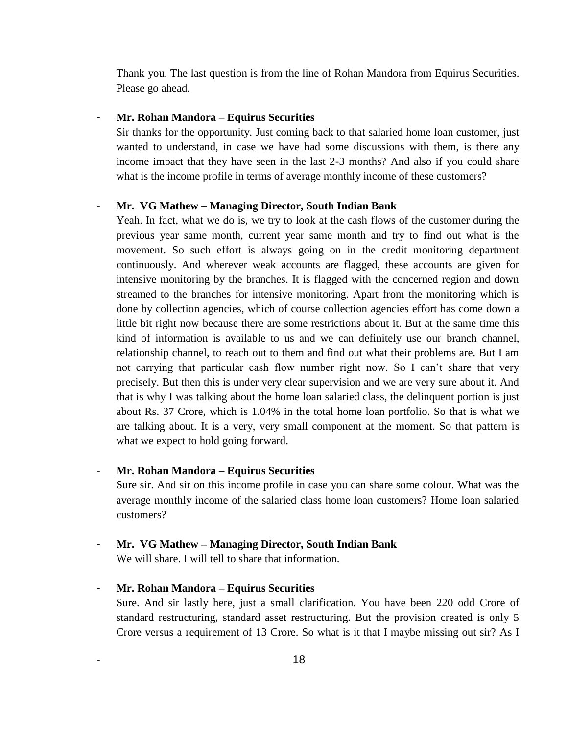Thank you. The last question is from the line of Rohan Mandora from Equirus Securities. Please go ahead.

## - **Mr. Rohan Mandora – Equirus Securities**

Sir thanks for the opportunity. Just coming back to that salaried home loan customer, just wanted to understand, in case we have had some discussions with them, is there any income impact that they have seen in the last 2-3 months? And also if you could share what is the income profile in terms of average monthly income of these customers?

#### - **Mr. VG Mathew – Managing Director, South Indian Bank**

Yeah. In fact, what we do is, we try to look at the cash flows of the customer during the previous year same month, current year same month and try to find out what is the movement. So such effort is always going on in the credit monitoring department continuously. And wherever weak accounts are flagged, these accounts are given for intensive monitoring by the branches. It is flagged with the concerned region and down streamed to the branches for intensive monitoring. Apart from the monitoring which is done by collection agencies, which of course collection agencies effort has come down a little bit right now because there are some restrictions about it. But at the same time this kind of information is available to us and we can definitely use our branch channel, relationship channel, to reach out to them and find out what their problems are. But I am not carrying that particular cash flow number right now. So I can't share that very precisely. But then this is under very clear supervision and we are very sure about it. And that is why I was talking about the home loan salaried class, the delinquent portion is just about Rs. 37 Crore, which is 1.04% in the total home loan portfolio. So that is what we are talking about. It is a very, very small component at the moment. So that pattern is what we expect to hold going forward.

# - **Mr. Rohan Mandora – Equirus Securities**

Sure sir. And sir on this income profile in case you can share some colour. What was the average monthly income of the salaried class home loan customers? Home loan salaried customers?

# - **Mr. VG Mathew – Managing Director, South Indian Bank**

We will share. I will tell to share that information.

# - **Mr. Rohan Mandora – Equirus Securities**

Sure. And sir lastly here, just a small clarification. You have been 220 odd Crore of standard restructuring, standard asset restructuring. But the provision created is only 5 Crore versus a requirement of 13 Crore. So what is it that I maybe missing out sir? As I